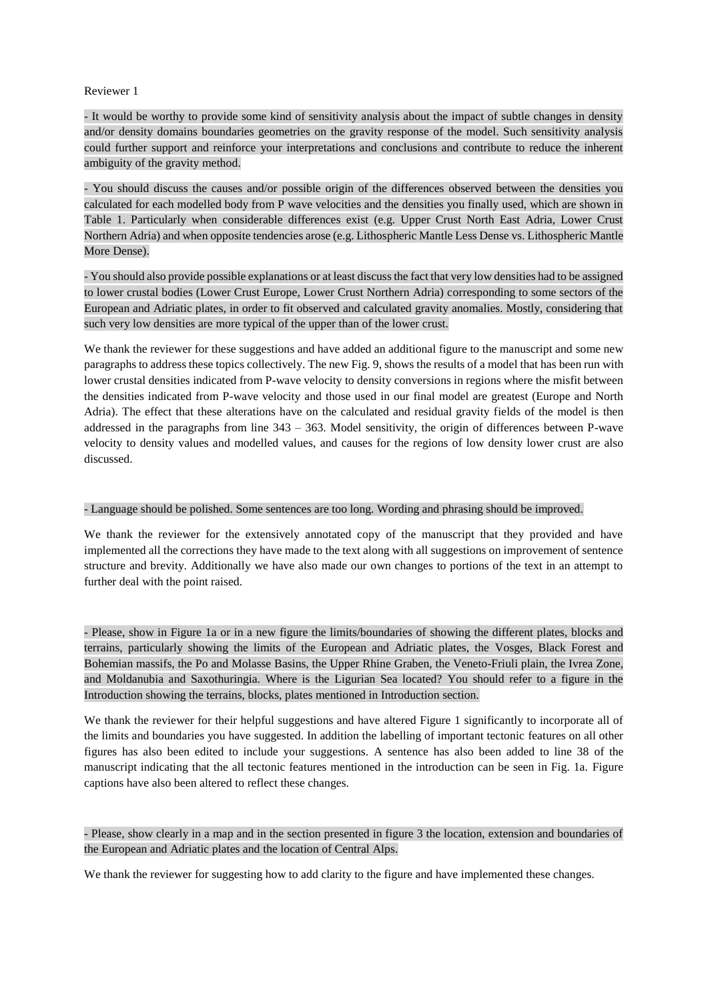## Reviewer 1

- It would be worthy to provide some kind of sensitivity analysis about the impact of subtle changes in density and/or density domains boundaries geometries on the gravity response of the model. Such sensitivity analysis could further support and reinforce your interpretations and conclusions and contribute to reduce the inherent ambiguity of the gravity method.

- You should discuss the causes and/or possible origin of the differences observed between the densities you calculated for each modelled body from P wave velocities and the densities you finally used, which are shown in Table 1. Particularly when considerable differences exist (e.g. Upper Crust North East Adria, Lower Crust Northern Adria) and when opposite tendencies arose (e.g. Lithospheric Mantle Less Dense vs. Lithospheric Mantle More Dense).

- You should also provide possible explanations or at least discuss the fact that very low densities had to be assigned to lower crustal bodies (Lower Crust Europe, Lower Crust Northern Adria) corresponding to some sectors of the European and Adriatic plates, in order to fit observed and calculated gravity anomalies. Mostly, considering that such very low densities are more typical of the upper than of the lower crust.

We thank the reviewer for these suggestions and have added an additional figure to the manuscript and some new paragraphs to address these topics collectively. The new Fig. 9, shows the results of a model that has been run with lower crustal densities indicated from P-wave velocity to density conversions in regions where the misfit between the densities indicated from P-wave velocity and those used in our final model are greatest (Europe and North Adria). The effect that these alterations have on the calculated and residual gravity fields of the model is then addressed in the paragraphs from line 343 – 363. Model sensitivity, the origin of differences between P-wave velocity to density values and modelled values, and causes for the regions of low density lower crust are also discussed.

### - Language should be polished. Some sentences are too long. Wording and phrasing should be improved.

We thank the reviewer for the extensively annotated copy of the manuscript that they provided and have implemented all the corrections they have made to the text along with all suggestions on improvement of sentence structure and brevity. Additionally we have also made our own changes to portions of the text in an attempt to further deal with the point raised.

- Please, show in Figure 1a or in a new figure the limits/boundaries of showing the different plates, blocks and terrains, particularly showing the limits of the European and Adriatic plates, the Vosges, Black Forest and Bohemian massifs, the Po and Molasse Basins, the Upper Rhine Graben, the Veneto-Friuli plain, the Ivrea Zone, and Moldanubia and Saxothuringia. Where is the Ligurian Sea located? You should refer to a figure in the Introduction showing the terrains, blocks, plates mentioned in Introduction section.

We thank the reviewer for their helpful suggestions and have altered Figure 1 significantly to incorporate all of the limits and boundaries you have suggested. In addition the labelling of important tectonic features on all other figures has also been edited to include your suggestions. A sentence has also been added to line 38 of the manuscript indicating that the all tectonic features mentioned in the introduction can be seen in Fig. 1a. Figure captions have also been altered to reflect these changes.

# - Please, show clearly in a map and in the section presented in figure 3 the location, extension and boundaries of the European and Adriatic plates and the location of Central Alps.

We thank the reviewer for suggesting how to add clarity to the figure and have implemented these changes.